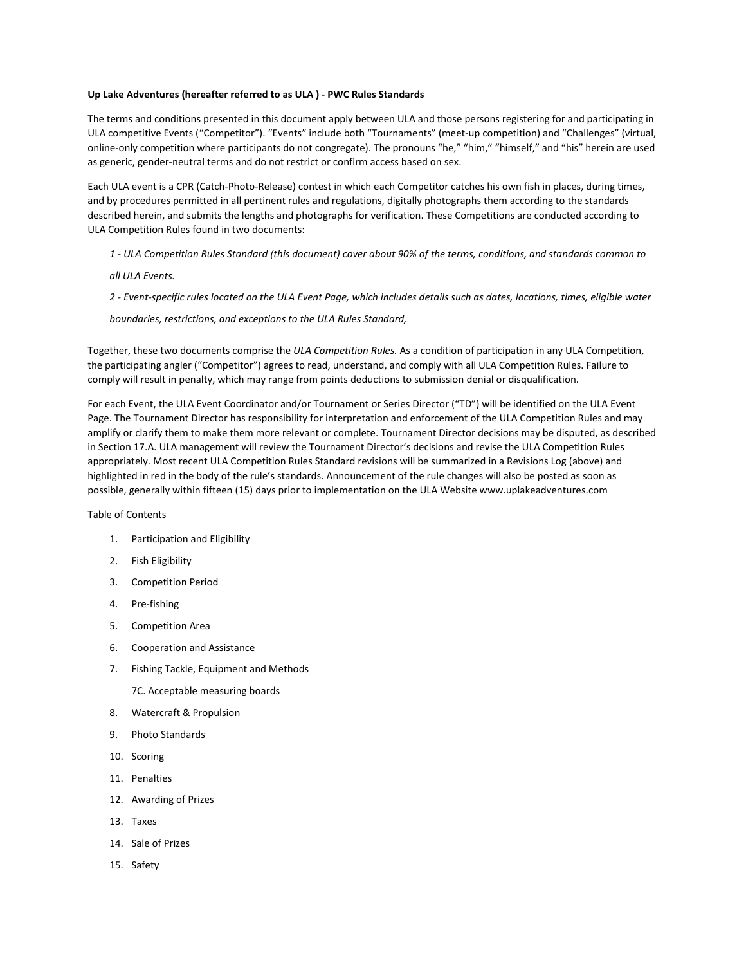#### **Up Lake Adventures (hereafter referred to as ULA ) - PWC Rules Standards**

The terms and conditions presented in this document apply between ULA and those persons registering for and participating in ULA competitive Events ("Competitor"). "Events" include both "Tournaments" (meet-up competition) and "Challenges" (virtual, online-only competition where participants do not congregate). The pronouns "he," "him," "himself," and "his" herein are used as generic, gender-neutral terms and do not restrict or confirm access based on sex.

Each ULA event is a CPR (Catch-Photo-Release) contest in which each Competitor catches his own fish in places, during times, and by procedures permitted in all pertinent rules and regulations, digitally photographs them according to the standards described herein, and submits the lengths and photographs for verification. These Competitions are conducted according to ULA Competition Rules found in two documents:

- *1 ULA Competition Rules Standard (this document) cover about 90% of the terms, conditions, and standards common to*
- *all ULA Events.*
- *2 Event-specific rules located on the ULA Event Page, which includes details such as dates, locations, times, eligible water*

#### *boundaries, restrictions, and exceptions to the ULA Rules Standard,*

Together, these two documents comprise the *ULA Competition Rules.* As a condition of participation in any ULA Competition, the participating angler ("Competitor") agrees to read, understand, and comply with all ULA Competition Rules. Failure to comply will result in penalty, which may range from points deductions to submission denial or disqualification.

For each Event, the ULA Event Coordinator and/or Tournament or Series Director ("TD") will be identified on the ULA Event Page. The Tournament Director has responsibility for interpretation and enforcement of the ULA Competition Rules and may amplify or clarify them to make them more relevant or complete. Tournament Director decisions may be disputed, as described in Section 17.A. ULA management will review the Tournament Director's decisions and revise the ULA Competition Rules appropriately. Most recent ULA Competition Rules Standard revisions will be summarized in a Revisions Log (above) and highlighted in red in the body of the rule's standards. Announcement of the rule changes will also be posted as soon as possible, generally within fifteen (15) days prior to implementation on the ULA Website www.uplakeadventures.com

Table of Contents

- 1. Participation and Eligibility
- 2. Fish Eligibility
- 3. Competition Period
- 4. Pre-fishing
- 5. Competition Area
- 6. Cooperation and Assistance
- 7. Fishing Tackle, Equipment and Method[s](https://www.kayakbassfishing.com/kbf-rules-standards/#tackle)
	- 7C. Acceptable measuring boards
- 8. Watercraft & Propulsion
- 9. Photo Standards
- 10. Scoring
- 11. Penalties
- 12. Awarding of Prizes
- 13. Taxes
- 14. Sale of Prizes
- 15. Safety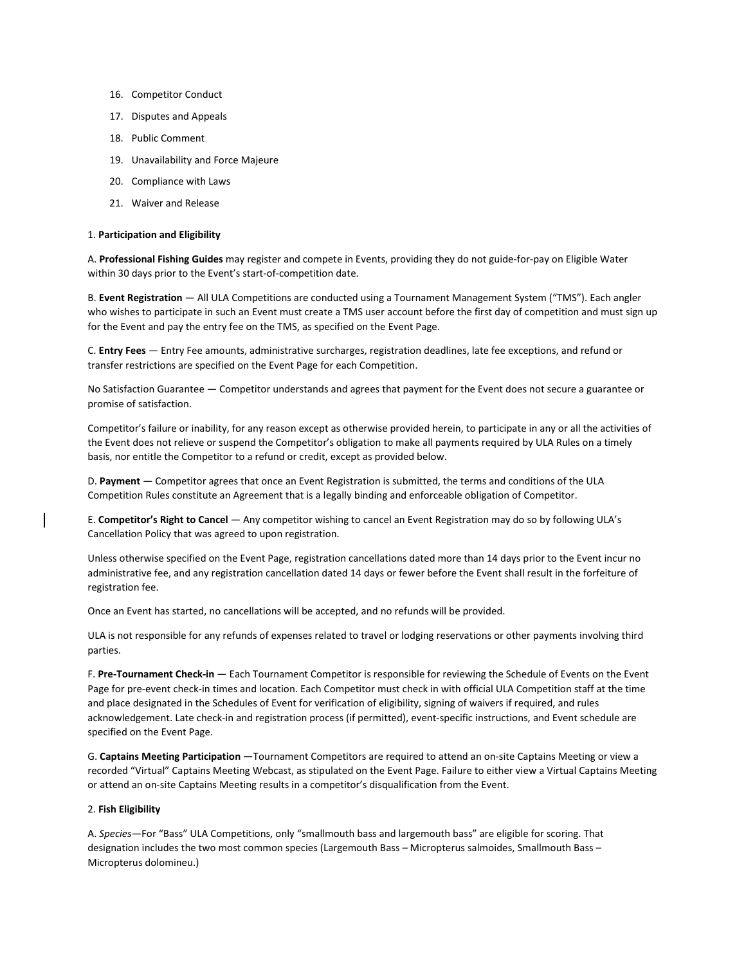- 16. Competitor Conduct
- 17. Disputes and Appeals
- 18. Public Comment
- 19. Unavailability and Force Majeure
- 20. Compliance with Laws
- 21. Waiver and Release

#### 1. **Participation and Eligibility**

A. **Professional Fishing Guides** may register and compete in Events, providing they do not guide-for-pay on Eligible Water within 30 days prior to the Event's start-of-competition date.

B. **Event Registration** — All ULA Competitions are conducted using a Tournament Management System ("TMS"). Each angler who wishes to participate in such an Event must create a TMS user account before the first day of competition and must sign up for the Event and pay the entry fee on the TMS, as specified on the Event Page.

C. **Entry Fees** — Entry Fee amounts, administrative surcharges, registration deadlines, late fee exceptions, and refund or transfer restrictions are specified on the Event Page for each Competition.

No Satisfaction Guarantee — Competitor understands and agrees that payment for the Event does not secure a guarantee or promise of satisfaction.

Competitor's failure or inability, for any reason except as otherwise provided herein, to participate in any or all the activities of the Event does not relieve or suspend the Competitor's obligation to make all payments required by ULA Rules on a timely basis, nor entitle the Competitor to a refund or credit, except as provided below.

D. **Payment** — Competitor agrees that once an Event Registration is submitted, the terms and conditions of the ULA Competition Rules constitute an Agreement that is a legally binding and enforceable obligation of Competitor.

E. **Competitor's Right to Cancel** — Any competitor wishing to cancel an Event Registration may do so by following ULA's [Cancellation](https://www.kayakbassfishing.com/refund/) Policy that was agreed to upon registration.

Unless otherwise specified on the Event Page, registration cancellations dated more than 14 days prior to the Event incur no administrative fee, and any registration cancellation dated 14 days or fewer before the Event shall result in the forfeiture of registration fee.

Once an Event has started, no cancellations will be accepted, and no refunds will be provided.

ULA is not responsible for any refunds of expenses related to travel or lodging reservations or other payments involving third parties.

F. **Pre-Tournament Check-in** — Each Tournament Competitor is responsible for reviewing the Schedule of Events on the Event Page for pre-event check-in times and location. Each Competitor must check in with official ULA Competition staff at the time and place designated in the Schedules of Event for verification of eligibility, signing of waivers if required, and rules acknowledgement. Late check-in and registration process (if permitted), event-specific instructions, and Event schedule are specified on the Event Page.

G. **Captains Meeting Participation —**Tournament Competitors are required to attend an on-site Captains Meeting or view a recorded "Virtual" Captains Meeting Webcast, as stipulated on the Event Page. Failure to either view a Virtual Captains Meeting or attend an on-site Captains Meeting results in a competitor's disqualification from the Event.

#### 2. **Fish Eligibility**

A. *Species*—For "Bass" ULA Competitions, only "smallmouth bass and largemouth bass" are eligible for scoring. That designation includes the two most common species (Largemouth Bass – Micropterus salmoides, Smallmouth Bass – Micropterus dolomineu.)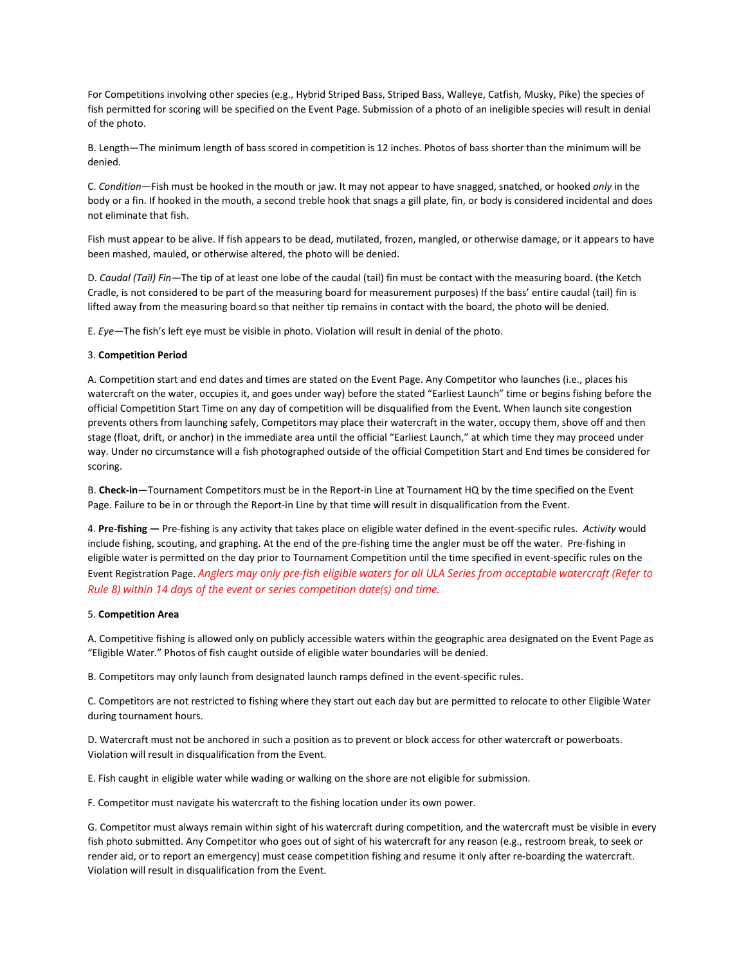For Competitions involving other species (e.g., Hybrid Striped Bass, Striped Bass, Walleye, Catfish, Musky, Pike) the species of fish permitted for scoring will be specified on the Event Page. Submission of a photo of an ineligible species will result in denial of the photo.

B. Length—The minimum length of bass scored in competition is 12 inches. Photos of bass shorter than the minimum will be denied.

C. *Condition*—Fish must be hooked in the mouth or jaw. It may not appear to have snagged, snatched, or hooked *only* in the body or a fin. If hooked in the mouth, a second treble hook that snags a gill plate, fin, or body is considered incidental and does not eliminate that fish.

Fish must appear to be alive. If fish appears to be dead, mutilated, frozen, mangled, or otherwise damage, or it appears to have been mashed, mauled, or otherwise altered, the photo will be denied.

D. *Caudal (Tail) Fin—*The tip of at least one lobe of the caudal (tail) fin must be contact with the measuring board. (the Ketch Cradle, is not considered to be part of the measuring board for measurement purposes) If the bass' entire caudal (tail) fin is lifted away from the measuring board so that neither tip remains in contact with the board, the photo will be denied.

E. *Eye*—The fish's left eye must be visible in photo. Violation will result in denial of the photo.

#### 3. **Competition Period**

A. Competition start and end dates and times are stated on the Event Page. Any Competitor who launches (i.e., places his watercraft on the water, occupies it, and goes under way) before the stated "Earliest Launch" time or begins fishing before the official Competition Start Time on any day of competition will be disqualified from the Event. When launch site congestion prevents others from launching safely, Competitors may place their watercraft in the water, occupy them, shove off and then stage (float, drift, or anchor) in the immediate area until the official "Earliest Launch," at which time they may proceed under way. Under no circumstance will a fish photographed outside of the official Competition Start and End times be considered for scoring.

B. **Check-in**—Tournament Competitors must be in the Report-in Line at Tournament HQ by the time specified on the Event Page. Failure to be in or through the Report-in Line by that time will result in disqualification from the Event.

4. **Pre-fishing —** Pre-fishing is any activity that takes place on eligible water defined in the event-specific rules. *Activity* would include fishing, scouting, and graphing. At the end of the pre-fishing time the angler must be off the water. Pre-fishing in eligible water is permitted on the day prior to Tournament Competition until the time specified in event-specific rules on the Event Registration Page. *Anglers may only pre-fish eligible waters for all ULA Series from acceptable watercraft (Refer to Rule 8) within 14 days of the event or series competition date(s) and time.*

#### 5. **Competition Area**

A. Competitive fishing is allowed only on publicly accessible waters within the geographic area designated on the Event Page as "Eligible Water." Photos of fish caught outside of eligible water boundaries will be denied.

B. Competitors may only launch from designated launch ramps defined in the event-specific rules.

C. Competitors are not restricted to fishing where they start out each day but are permitted to relocate to other Eligible Water during tournament hours.

D. Watercraft must not be anchored in such a position as to prevent or block access for other watercraft or powerboats. Violation will result in disqualification from the Event.

E. Fish caught in eligible water while wading or walking on the shore are not eligible for submission.

F. Competitor must navigate his watercraft to the fishing location under its own power.

G. Competitor must always remain within sight of his watercraft during competition, and the watercraft must be visible in every fish photo submitted. Any Competitor who goes out of sight of his watercraft for any reason (e.g., restroom break, to seek or render aid, or to report an emergency) must cease competition fishing and resume it only after re-boarding the watercraft. Violation will result in disqualification from the Event.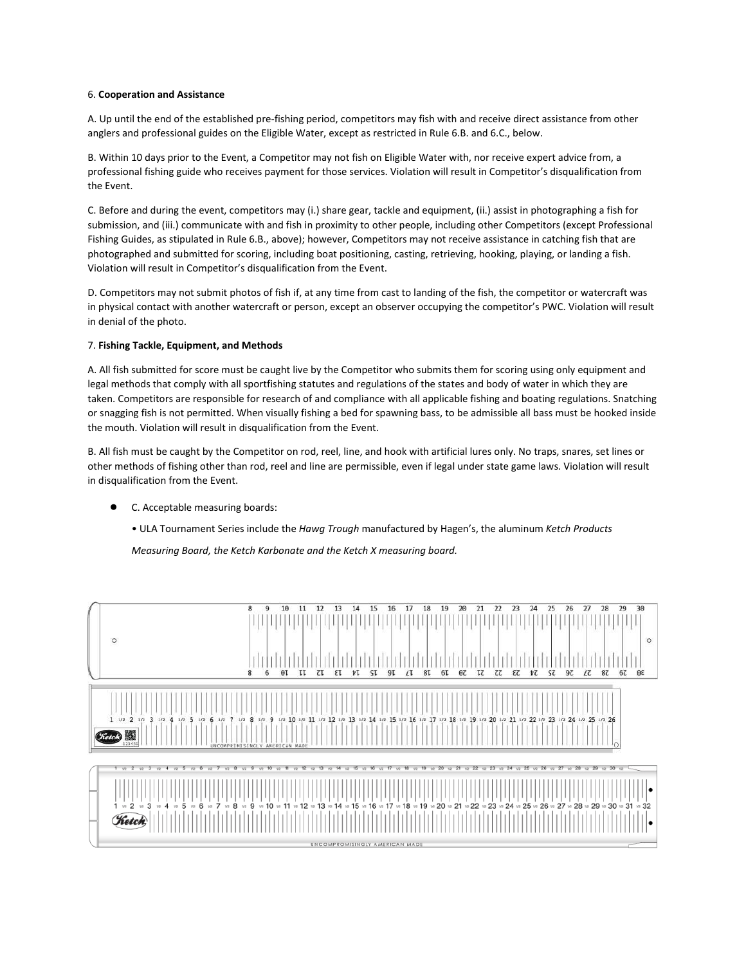#### 6. **Cooperation and Assistance**

A. Up until the end of the established pre-fishing period, competitors may fish with and receive direct assistance from other anglers and professional guides on the Eligible Water, except as restricted in Rule 6.B. and 6.C., below.

B. Within 10 days prior to the Event, a Competitor may not fish on Eligible Water with, nor receive expert advice from, a professional fishing guide who receives payment for those services. Violation will result in Competitor's disqualification from the Event.

C. Before and during the event, competitors may (i.) share gear, tackle and equipment, (ii.) assist in photographing a fish for submission, and (iii.) communicate with and fish in proximity to other people, including other Competitors (except Professional Fishing Guides, as stipulated in Rule 6.B., above); however, Competitors may not receive assistance in catching fish that are photographed and submitted for scoring, including boat positioning, casting, retrieving, hooking, playing, or landing a fish. Violation will result in Competitor's disqualification from the Event.

D. Competitors may not submit photos of fish if, at any time from cast to landing of the fish, the competitor or watercraft was in physical contact with another watercraft or person, except an observer occupying the competitor's PWC. Violation will result in denial of the photo.

# 7. **Fishing Tackle, Equipment, and Methods**

A. All fish submitted for score must be caught live by the Competitor who submits them for scoring using only equipment and legal methods that comply with all sportfishing statutes and regulations of the states and body of water in which they are taken. Competitors are responsible for research of and compliance with all applicable fishing and boating regulations. Snatching or snagging fish is not permitted. When visually fishing a bed for spawning bass, to be admissible all bass must be hooked inside the mouth. Violation will result in disqualification from the Event.

B. All fish must be caught by the Competitor on rod, reel, line, and hook with artificial lures only. No traps, snares, set lines or other methods of fishing other than rod, reel and line are permissible, even if legal under state game laws. Violation will result in disqualification from the Event.

- C. Acceptable measuring boards:
	- ULA Tournament Series include the *Hawg Trough* manufactured by Hagen's, the aluminum *Ketch Products*

*Measuring Board, the Ketch Karbonate and the Ketch X measuring board.*

| $\circ$                                                                                          | 8<br>21<br>22<br>25<br>26<br>27<br>18<br>19<br>20<br>23<br>24<br>28<br>9<br>10<br>12<br>13<br>17<br>14<br>15<br>16<br>97<br>8<br>8 <sub>L</sub><br>0 <sup>z</sup><br>τz<br>$\epsilon$<br>ÞΖ<br>SZ<br>6<br>$\Theta$ I<br>9T<br>6L<br>τz<br>LΖ<br>87<br>п<br>τı<br>εt<br>ÞΙ<br>SI<br>Lτ                                                                                                                                   | 30<br>29<br>$\circ$<br>Θε<br>67 |
|--------------------------------------------------------------------------------------------------|-------------------------------------------------------------------------------------------------------------------------------------------------------------------------------------------------------------------------------------------------------------------------------------------------------------------------------------------------------------------------------------------------------------------------|---------------------------------|
| 1 1/2 2 1/2 3 1/2 4 1/2 5 1/2 6<br>7<br>1/2<br>1/2<br><b>Fietch</b><br>123456                    | 1/2 9 1/2 10 1/2 11 1/2 1/2 1/2 1/3 1/2 14 1/2 15 1/2 16 1/2 17 1/2 18 1/2 19 1/2 20 1/2 21 1/2 22 1/2 23 1/2 24 1/2 25 1/2 26<br>8<br>O<br>UNCOMPRIMISINGLY AMERICAN MADE                                                                                                                                                                                                                                              |                                 |
| 3/2<br>22<br>325<br>52<br>22<br>v22<br>3<br>$6 \times$<br>8<br>vz 4 vz 5 vz<br>v2<br>VZ<br>Ketch | 23<br>$v2$ 24 $v2$ 25<br>26<br>10<br>12<br>20<br>22<br>30<br>-11 -<br>15<br>2/2<br>21<br>5/2<br>$-1/2$<br>5/2<br>5/2<br>$32^{\circ}$<br>52<br>V2<br>379<br>95<br>95<br>325<br>22<br>22<br>12 12 12 12 12 13 14 14 14 15 12 14 15 12 14 12 13 14 15 14 15 15 16 17 12 18 13 14 13 14 14 15 12 12 12 12 12 12 12 12 12 12 12 13 12 14 15 12 15 12 15 12 15 12 15 12 15 12 15 12 15 12 15 12 15 12 15 15 16 16 17 12 15 15 |                                 |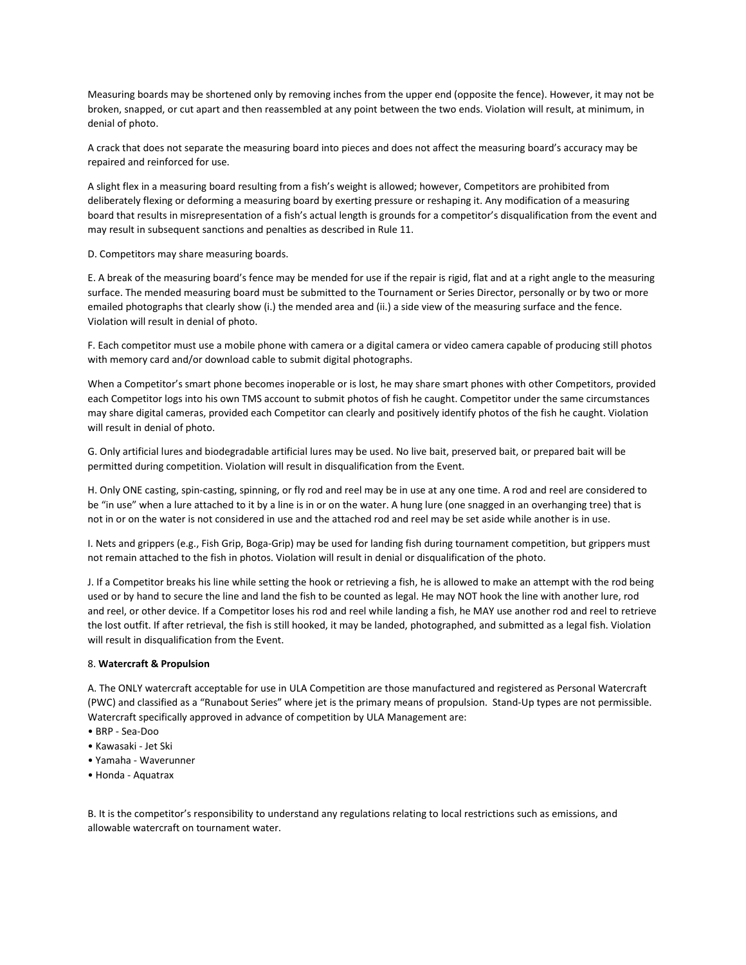Measuring boards may be shortened only by removing inches from the upper end (opposite the fence). However, it may not be broken, snapped, or cut apart and then reassembled at any point between the two ends. Violation will result, at minimum, in denial of photo.

A crack that does not separate the measuring board into pieces and does not affect the measuring board's accuracy may be repaired and reinforced for use.

A slight flex in a measuring board resulting from a fish's weight is allowed; however, Competitors are prohibited from deliberately flexing or deforming a measuring board by exerting pressure or reshaping it. Any modification of a measuring board that results in misrepresentation of a fish's actual length is grounds for a competitor's disqualification from the event and may result in subsequent sanctions and penalties as described in Rule 11.

D. Competitors may share measuring boards.

E. A break of the measuring board's fence may be mended for use if the repair is rigid, flat and at a right angle to the measuring surface. The mended measuring board must be submitted to the Tournament or Series Director, personally or by two or more emailed photographs that clearly show (i.) the mended area and (ii.) a side view of the measuring surface and the fence. Violation will result in denial of photo.

F. Each competitor must use a mobile phone with camera or a digital camera or video camera capable of producing still photos with memory card and/or download cable to submit digital photographs.

When a Competitor's smart phone becomes inoperable or is lost, he may share smart phones with other Competitors, provided each Competitor logs into his own TMS account to submit photos of fish he caught. Competitor under the same circumstances may share digital cameras, provided each Competitor can clearly and positively identify photos of the fish he caught. Violation will result in denial of photo.

G. Only artificial lures and biodegradable artificial lures may be used. No live bait, preserved bait, or prepared bait will be permitted during competition. Violation will result in disqualification from the Event.

H. Only ONE casting, spin-casting, spinning, or fly rod and reel may be in use at any one time. A rod and reel are considered to be "in use" when a lure attached to it by a line is in or on the water. A hung lure (one snagged in an overhanging tree) that is not in or on the water is not considered in use and the attached rod and reel may be set aside while another is in use.

I. Nets and grippers (e.g., Fish Grip, Boga-Grip) may be used for landing fish during tournament competition, but grippers must not remain attached to the fish in photos. Violation will result in denial or disqualification of the photo.

J. If a Competitor breaks his line while setting the hook or retrieving a fish, he is allowed to make an attempt with the rod being used or by hand to secure the line and land the fish to be counted as legal. He may NOT hook the line with another lure, rod and reel, or other device. If a Competitor loses his rod and reel while landing a fish, he MAY use another rod and reel to retrieve the lost outfit. If after retrieval, the fish is still hooked, it may be landed, photographed, and submitted as a legal fish. Violation will result in disqualification from the Event.

#### 8. **Watercraft & Propulsion**

A. The ONLY watercraft acceptable for use in ULA Competition are those manufactured and registered as Personal Watercraft (PWC) and classified as a "Runabout Series" where jet is the primary means of propulsion. Stand-Up types are not permissible. Watercraft specifically approved in advance of competition by ULA Management are:

- BRP Sea-Doo
- Kawasaki Jet Ski
- Yamaha Waverunner
- Honda Aquatrax

B. It is the competitor's responsibility to understand any regulations relating to local restrictions such as emissions, and allowable watercraft on tournament water.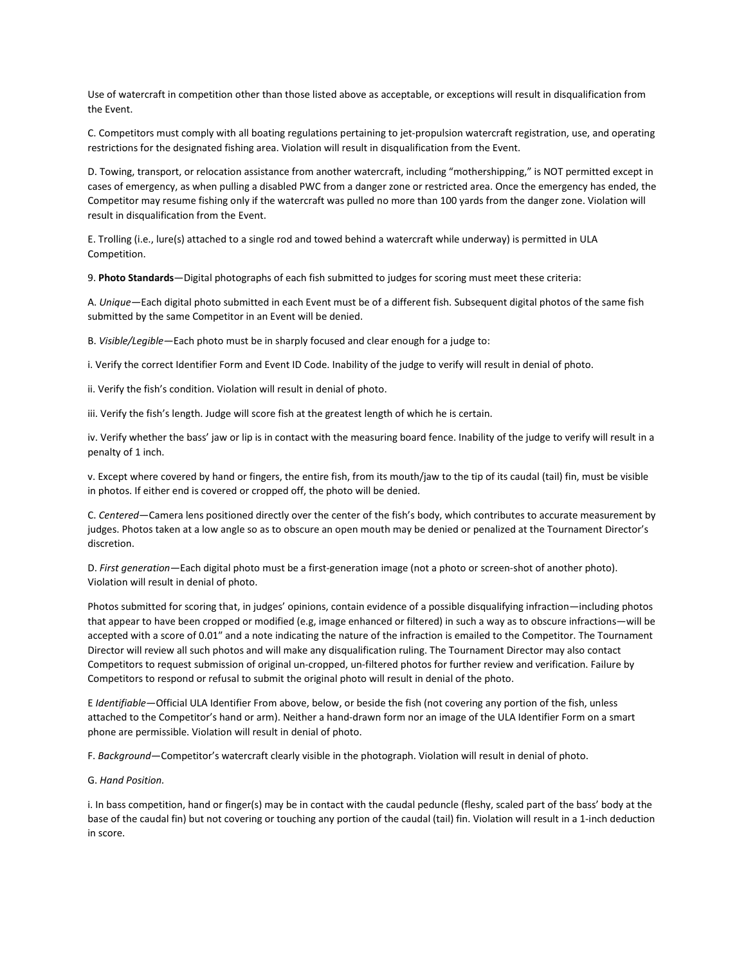Use of watercraft in competition other than those listed above as acceptable, or exceptions will result in disqualification from the Event.

C. Competitors must comply with all boating regulations pertaining to jet-propulsion watercraft registration, use, and operating restrictions for the designated fishing area. Violation will result in disqualification from the Event.

D. Towing, transport, or relocation assistance from another watercraft, including "mothershipping," is NOT permitted except in cases of emergency, as when pulling a disabled PWC from a danger zone or restricted area. Once the emergency has ended, the Competitor may resume fishing only if the watercraft was pulled no more than 100 yards from the danger zone. Violation will result in disqualification from the Event.

E. Trolling (i.e., lure(s) attached to a single rod and towed behind a watercraft while underway) is permitted in ULA Competition.

9. **Photo Standards**—Digital photographs of each fish submitted to judges for scoring must meet these criteria:

A. *Unique—*Each digital photo submitted in each Event must be of a different fish. Subsequent digital photos of the same fish submitted by the same Competitor in an Event will be denied.

B. *Visible/Legible—*Each photo must be in sharply focused and clear enough for a judge to:

i. Verify the correct Identifier Form and Event ID Code. Inability of the judge to verify will result in denial of photo.

ii. Verify the fish's condition. Violation will result in denial of photo.

iii. Verify the fish's length. Judge will score fish at the greatest length of which he is certain.

iv. Verify whether the bass' jaw or lip is in contact with the measuring board fence. Inability of the judge to verify will result in a penalty of 1 inch.

v. Except where covered by hand or fingers, the entire fish, from its mouth/jaw to the tip of its caudal (tail) fin, must be visible in photos. If either end is covered or cropped off, the photo will be denied.

C. *Centered*—Camera lens positioned directly over the center of the fish's body, which contributes to accurate measurement by judges. Photos taken at a low angle so as to obscure an open mouth may be denied or penalized at the Tournament Director's discretion.

D. *First generation—*Each digital photo must be a first-generation image (not a photo or screen-shot of another photo). Violation will result in denial of photo.

Photos submitted for scoring that, in judges' opinions, contain evidence of a possible disqualifying infraction—including photos that appear to have been cropped or modified (e.g, image enhanced or filtered) in such a way as to obscure infractions—will be accepted with a score of 0.01″ and a note indicating the nature of the infraction is emailed to the Competitor. The Tournament Director will review all such photos and will make any disqualification ruling. The Tournament Director may also contact Competitors to request submission of original un-cropped, un-filtered photos for further review and verification. Failure by Competitors to respond or refusal to submit the original photo will result in denial of the photo.

E *Identifiable*—Official ULA Identifier From above, below, or beside the fish (not covering any portion of the fish, unless attached to the Competitor's hand or arm). Neither a hand-drawn form nor an image of the ULA Identifier Form on a smart phone are permissible. Violation will result in denial of photo.

F. *Background*—Competitor's watercraft clearly visible in the photograph. Violation will result in denial of photo.

#### G. *Hand Position.*

i. In bass competition, hand or finger(s) may be in contact with the caudal peduncle (fleshy, scaled part of the bass' body at the base of the caudal fin) but not covering or touching any portion of the caudal (tail) fin. Violation will result in a 1-inch deduction in score.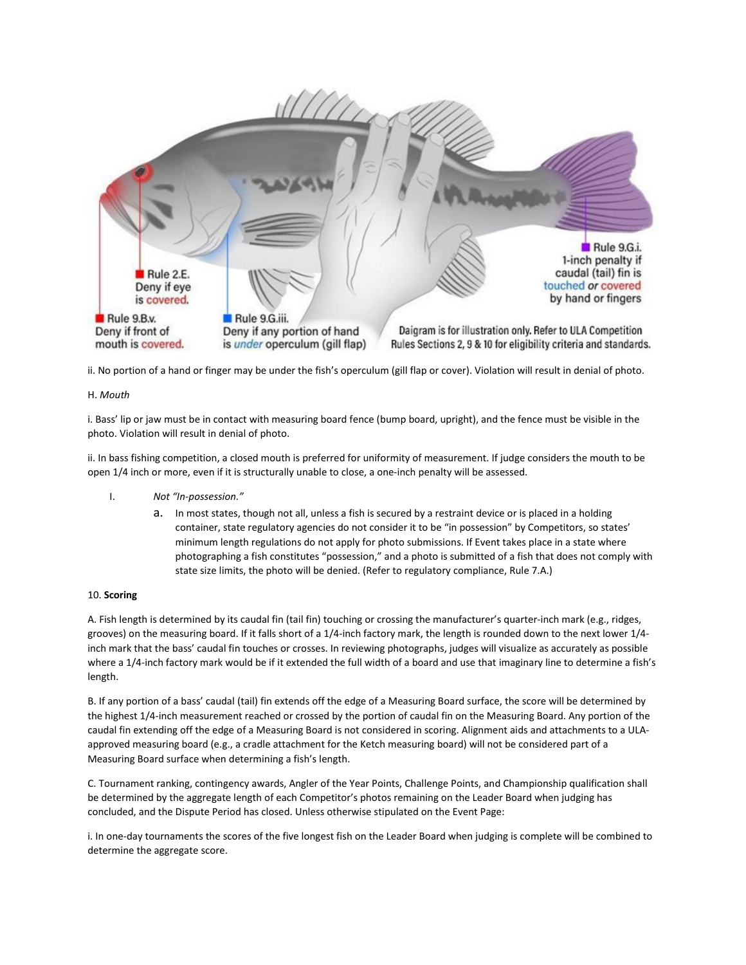

ii. No portion of a hand or finger may be under the fish's operculum (gill flap or cover). Violation will result in denial of photo.

### H. *Mouth*

i. Bass' lip or jaw must be in contact with measuring board fence (bump board, upright), and the fence must be visible in the photo. Violation will result in denial of photo.

ii. In bass fishing competition, a closed mouth is preferred for uniformity of measurement. If judge considers the mouth to be open 1/4 inch or more, even if it is structurally unable to close, a one-inch penalty will be assessed.

- I. *Not "In-possession."*
	- a. In most states, though not all, unless a fish is secured by a restraint device or is placed in a holding container, state regulatory agencies do not consider it to be "in possession" by Competitors, so states' minimum length regulations do not apply for photo submissions. If Event takes place in a state where photographing a fish constitutes "possession," and a photo is submitted of a fish that does not comply with state size limits, the photo will be denied. (Refer to regulatory compliance, Rule 7.A.)

### 10. **Scoring**

A. Fish length is determined by its caudal fin (tail fin) touching or crossing the manufacturer's quarter-inch mark (e.g., ridges, grooves) on the measuring board. If it falls short of a 1/4-inch factory mark, the length is rounded down to the next lower 1/4 inch mark that the bass' caudal fin touches or crosses. In reviewing photographs, judges will visualize as accurately as possible where a 1/4-inch factory mark would be if it extended the full width of a board and use that imaginary line to determine a fish's length.

B. If any portion of a bass' caudal (tail) fin extends off the edge of a Measuring Board surface, the score will be determined by the highest 1/4-inch measurement reached or crossed by the portion of caudal fin on the Measuring Board. Any portion of the caudal fin extending off the edge of a Measuring Board is not considered in scoring. Alignment aids and attachments to a ULAapproved measuring board (e.g., a cradle attachment for the Ketch measuring board) will not be considered part of a Measuring Board surface when determining a fish's length.

C. Tournament ranking, contingency awards, Angler of the Year Points, Challenge Points, and Championship qualification shall be determined by the aggregate length of each Competitor's photos remaining on the Leader Board when judging has concluded, and the Dispute Period has closed. Unless otherwise stipulated on the Event Page:

i. In one-day tournaments the scores of the five longest fish on the Leader Board when judging is complete will be combined to determine the aggregate score.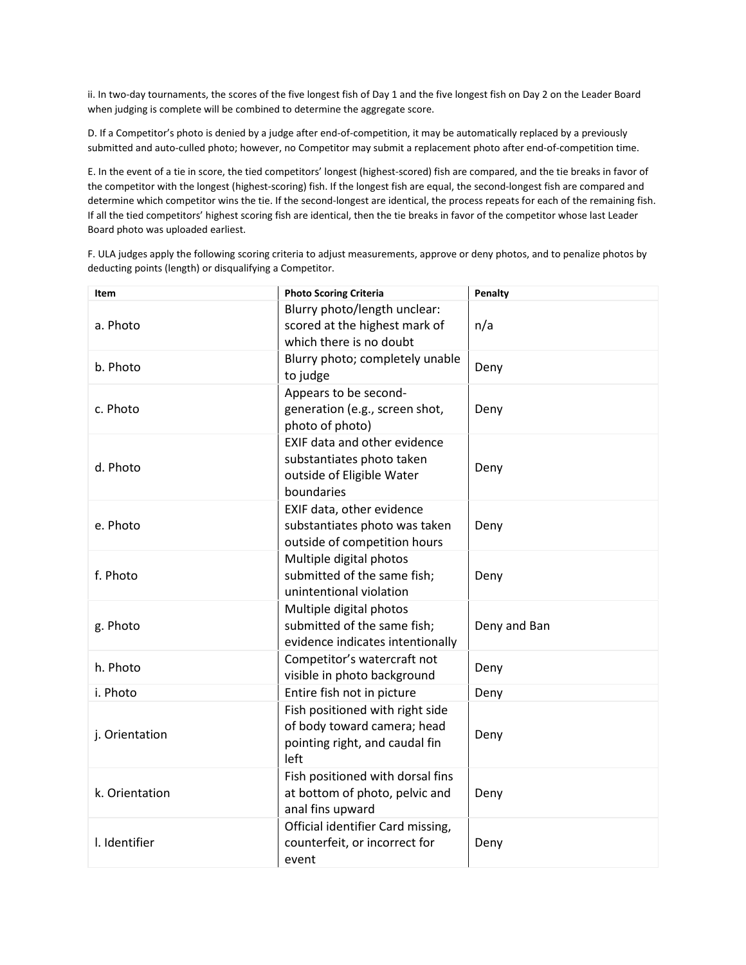ii. In two-day tournaments, the scores of the five longest fish of Day 1 and the five longest fish on Day 2 on the Leader Board when judging is complete will be combined to determine the aggregate score.

D. If a Competitor's photo is denied by a judge after end-of-competition, it may be automatically replaced by a previously submitted and auto-culled photo; however, no Competitor may submit a replacement photo after end-of-competition time.

E. In the event of a tie in score, the tied competitors' longest (highest-scored) fish are compared, and the tie breaks in favor of the competitor with the longest (highest-scoring) fish. If the longest fish are equal, the second-longest fish are compared and determine which competitor wins the tie. If the second-longest are identical, the process repeats for each of the remaining fish. If all the tied competitors' highest scoring fish are identical, then the tie breaks in favor of the competitor whose last Leader Board photo was uploaded earliest.

F. ULA judges apply the following scoring criteria to adjust measurements, approve or deny photos, and to penalize photos by deducting points (length) or disqualifying a Competitor.

| Item           | <b>Photo Scoring Criteria</b>                                                                            | Penalty      |
|----------------|----------------------------------------------------------------------------------------------------------|--------------|
| a. Photo       | Blurry photo/length unclear:<br>scored at the highest mark of<br>which there is no doubt                 | n/a          |
| b. Photo       | Blurry photo; completely unable<br>to judge                                                              | Deny         |
| c. Photo       | Appears to be second-<br>generation (e.g., screen shot,<br>photo of photo)                               | Deny         |
| d. Photo       | EXIF data and other evidence<br>substantiates photo taken<br>outside of Eligible Water<br>boundaries     | Deny         |
| e. Photo       | EXIF data, other evidence<br>substantiates photo was taken<br>outside of competition hours               | Deny         |
| f. Photo       | Multiple digital photos<br>submitted of the same fish;<br>unintentional violation                        | Deny         |
| g. Photo       | Multiple digital photos<br>submitted of the same fish;<br>evidence indicates intentionally               | Deny and Ban |
| h. Photo       | Competitor's watercraft not<br>visible in photo background                                               | Deny         |
| i. Photo       | Entire fish not in picture                                                                               | Deny         |
| j. Orientation | Fish positioned with right side<br>of body toward camera; head<br>pointing right, and caudal fin<br>left | Deny         |
| k. Orientation | Fish positioned with dorsal fins<br>at bottom of photo, pelvic and<br>anal fins upward                   | Deny         |
| I. Identifier  | Official identifier Card missing,<br>counterfeit, or incorrect for<br>event                              | Deny         |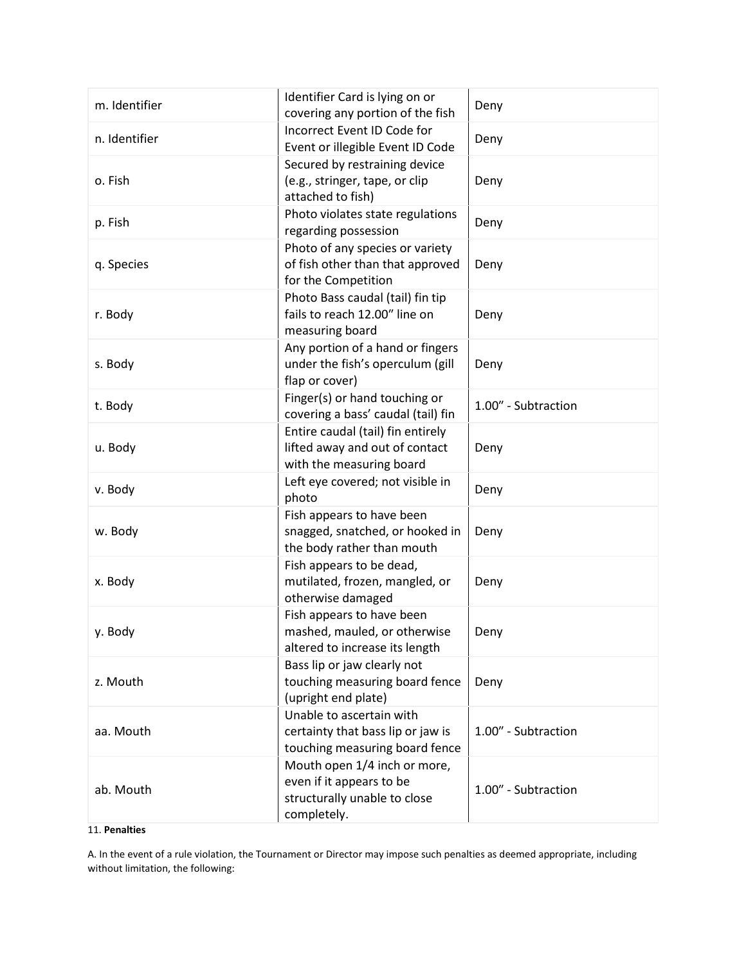| m. Identifier | Identifier Card is lying on or<br>covering any portion of the fish                                      | Deny                |
|---------------|---------------------------------------------------------------------------------------------------------|---------------------|
| n. Identifier | Incorrect Event ID Code for<br>Event or illegible Event ID Code                                         | Deny                |
| o. Fish       | Secured by restraining device<br>(e.g., stringer, tape, or clip<br>attached to fish)                    | Deny                |
| p. Fish       | Photo violates state regulations<br>regarding possession                                                | Deny                |
| q. Species    | Photo of any species or variety<br>of fish other than that approved<br>for the Competition              | Deny                |
| r. Body       | Photo Bass caudal (tail) fin tip<br>fails to reach 12.00" line on<br>measuring board                    | Deny                |
| s. Body       | Any portion of a hand or fingers<br>under the fish's operculum (gill<br>flap or cover)                  | Deny                |
| t. Body       | Finger(s) or hand touching or<br>covering a bass' caudal (tail) fin                                     | 1.00" - Subtraction |
| u. Body       | Entire caudal (tail) fin entirely<br>lifted away and out of contact<br>with the measuring board         | Deny                |
| v. Body       | Left eye covered; not visible in<br>photo                                                               | Deny                |
| w. Body       | Fish appears to have been<br>snagged, snatched, or hooked in<br>the body rather than mouth              | Deny                |
| x. Body       | Fish appears to be dead,<br>mutilated, frozen, mangled, or<br>otherwise damaged                         | Deny                |
| y. Body       | Fish appears to have been<br>mashed, mauled, or otherwise<br>altered to increase its length             | Deny                |
| z. Mouth      | Bass lip or jaw clearly not<br>touching measuring board fence<br>(upright end plate)                    | Deny                |
| aa. Mouth     | Unable to ascertain with<br>certainty that bass lip or jaw is<br>touching measuring board fence         | 1.00" - Subtraction |
| ab. Mouth     | Mouth open 1/4 inch or more,<br>even if it appears to be<br>structurally unable to close<br>completely. | 1.00" - Subtraction |

# 11. **Penalties**

A. In the event of a rule violation, the Tournament or Director may impose such penalties as deemed appropriate, including without limitation, the following: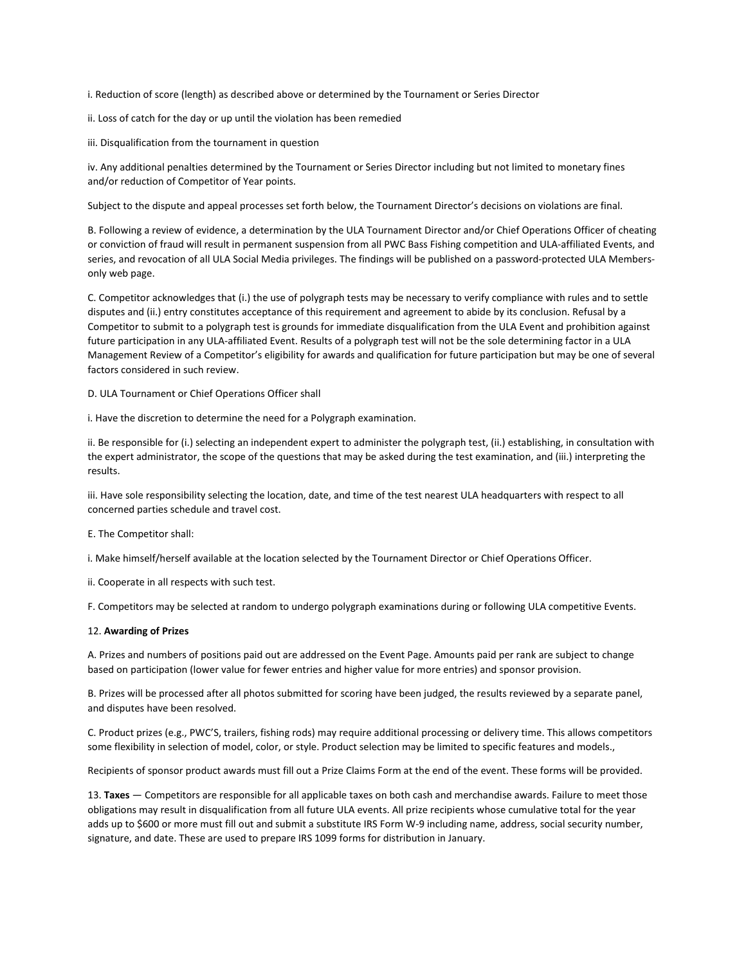i. Reduction of score (length) as described above or determined by the Tournament or Series Director

ii. Loss of catch for the day or up until the violation has been remedied

iii. Disqualification from the tournament in question

iv. Any additional penalties determined by the Tournament or Series Director including but not limited to monetary fines and/or reduction of Competitor of Year points.

Subject to the dispute and appeal processes set forth below, the Tournament Director's decisions on violations are final.

B. Following a review of evidence, a determination by the ULA Tournament Director and/or Chief Operations Officer of cheating or conviction of fraud will result in permanent suspension from all PWC Bass Fishing competition and ULA-affiliated Events, and series, and revocation of all ULA Social Media privileges. The findings will be published on a password-protected ULA Membersonly web page.

C. Competitor acknowledges that (i.) the use of polygraph tests may be necessary to verify compliance with rules and to settle disputes and (ii.) entry constitutes acceptance of this requirement and agreement to abide by its conclusion. Refusal by a Competitor to submit to a polygraph test is grounds for immediate disqualification from the ULA Event and prohibition against future participation in any ULA-affiliated Event. Results of a polygraph test will not be the sole determining factor in a ULA Management Review of a Competitor's eligibility for awards and qualification for future participation but may be one of several factors considered in such review.

D. ULA Tournament or Chief Operations Officer shall

i. Have the discretion to determine the need for a Polygraph examination.

ii. Be responsible for (i.) selecting an independent expert to administer the polygraph test, (ii.) establishing, in consultation with the expert administrator, the scope of the questions that may be asked during the test examination, and (iii.) interpreting the results.

iii. Have sole responsibility selecting the location, date, and time of the test nearest ULA headquarters with respect to all concerned parties schedule and travel cost.

E. The Competitor shall:

i. Make himself/herself available at the location selected by the Tournament Director or Chief Operations Officer.

ii. Cooperate in all respects with such test.

F. Competitors may be selected at random to undergo polygraph examinations during or following ULA competitive Events.

#### 12. **Awarding of Prizes**

A. Prizes and numbers of positions paid out are addressed on the Event Page. Amounts paid per rank are subject to change based on participation (lower value for fewer entries and higher value for more entries) and sponsor provision.

B. Prizes will be processed after all photos submitted for scoring have been judged, the results reviewed by a separate panel, and disputes have been resolved.

C. Product prizes (e.g., PWC'S, trailers, fishing rods) may require additional processing or delivery time. This allows competitors some flexibility in selection of model, color, or style. Product selection may be limited to specific features and models.,

Recipients of sponsor product awards must fill out a Prize Claims Form at the end of the event. These forms will be provided.

13. **Taxes** — Competitors are responsible for all applicable taxes on both cash and merchandise awards. Failure to meet those obligations may result in disqualification from all future ULA events. All prize recipients whose cumulative total for the year adds up to \$600 or more must fill out and submit a substitute IRS Form W-9 including name, address, social security number, signature, and date. These are used to prepare IRS 1099 forms for distribution in January.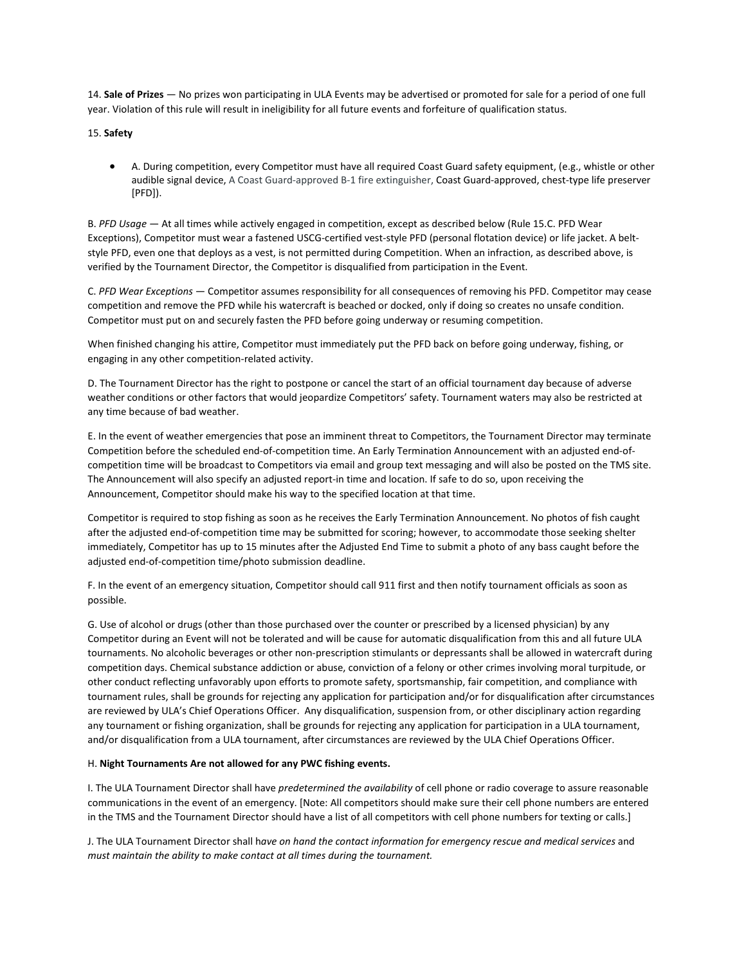14. **Sale of Prizes** — No prizes won participating in ULA Events may be advertised or promoted for sale for a period of one full year. Violation of this rule will result in ineligibility for all future events and forfeiture of qualification status.

15. **Safety**

• A. During competition, every Competitor must have all required Coast Guard safety equipment, (e.g., whistle or other audible signal device, A Coast Guard-approved B-1 fire extinguisher, Coast Guard-approved, chest-type life preserver [PFD]).

B. *PFD Usage* — At all times while actively engaged in competition, except as described below (Rule 15.C. PFD Wear Exceptions), Competitor must wear a fastened USCG-certified vest-style PFD (personal flotation device) or life jacket. A beltstyle PFD, even one that deploys as a vest, is not permitted during Competition. When an infraction, as described above, is verified by the Tournament Director, the Competitor is disqualified from participation in the Event.

C. *PFD Wear Exceptions* — Competitor assumes responsibility for all consequences of removing his PFD. Competitor may cease competition and remove the PFD while his watercraft is beached or docked, only if doing so creates no unsafe condition. Competitor must put on and securely fasten the PFD before going underway or resuming competition.

When finished changing his attire, Competitor must immediately put the PFD back on before going underway, fishing, or engaging in any other competition-related activity.

D. The Tournament Director has the right to postpone or cancel the start of an official tournament day because of adverse weather conditions or other factors that would jeopardize Competitors' safety. Tournament waters may also be restricted at any time because of bad weather.

E. In the event of weather emergencies that pose an imminent threat to Competitors, the Tournament Director may terminate Competition before the scheduled end-of-competition time. An Early Termination Announcement with an adjusted end-ofcompetition time will be broadcast to Competitors via email and group text messaging and will also be posted on the TMS site. The Announcement will also specify an adjusted report-in time and location. If safe to do so, upon receiving the Announcement, Competitor should make his way to the specified location at that time.

Competitor is required to stop fishing as soon as he receives the Early Termination Announcement. No photos of fish caught after the adjusted end-of-competition time may be submitted for scoring; however, to accommodate those seeking shelter immediately, Competitor has up to 15 minutes after the Adjusted End Time to submit a photo of any bass caught before the adjusted end-of-competition time/photo submission deadline.

F. In the event of an emergency situation, Competitor should call 911 first and then notify tournament officials as soon as possible.

G. Use of alcohol or drugs (other than those purchased over the counter or prescribed by a licensed physician) by any Competitor during an Event will not be tolerated and will be cause for automatic disqualification from this and all future ULA tournaments. No alcoholic beverages or other non-prescription stimulants or depressants shall be allowed in watercraft during competition days. Chemical substance addiction or abuse, conviction of a felony or other crimes involving moral turpitude, or other conduct reflecting unfavorably upon efforts to promote safety, sportsmanship, fair competition, and compliance with tournament rules, shall be grounds for rejecting any application for participation and/or for disqualification after circumstances are reviewed by ULA's Chief Operations Officer. Any disqualification, suspension from, or other disciplinary action regarding any tournament or fishing organization, shall be grounds for rejecting any application for participation in a ULA tournament, and/or disqualification from a ULA tournament, after circumstances are reviewed by the ULA Chief Operations Officer.

# H. **Night Tournaments Are not allowed for any PWC fishing events.**

I. The ULA Tournament Director shall have *predetermined the availability* of cell phone or radio coverage to assure reasonable communications in the event of an emergency. [Note: All competitors should make sure their cell phone numbers are entered in the TMS and the Tournament Director should have a list of all competitors with cell phone numbers for texting or calls.]

J. The ULA Tournament Director shall h*ave on hand the contact information for emergency rescue and medical services* and *must maintain the ability to make contact at all times during the tournament.*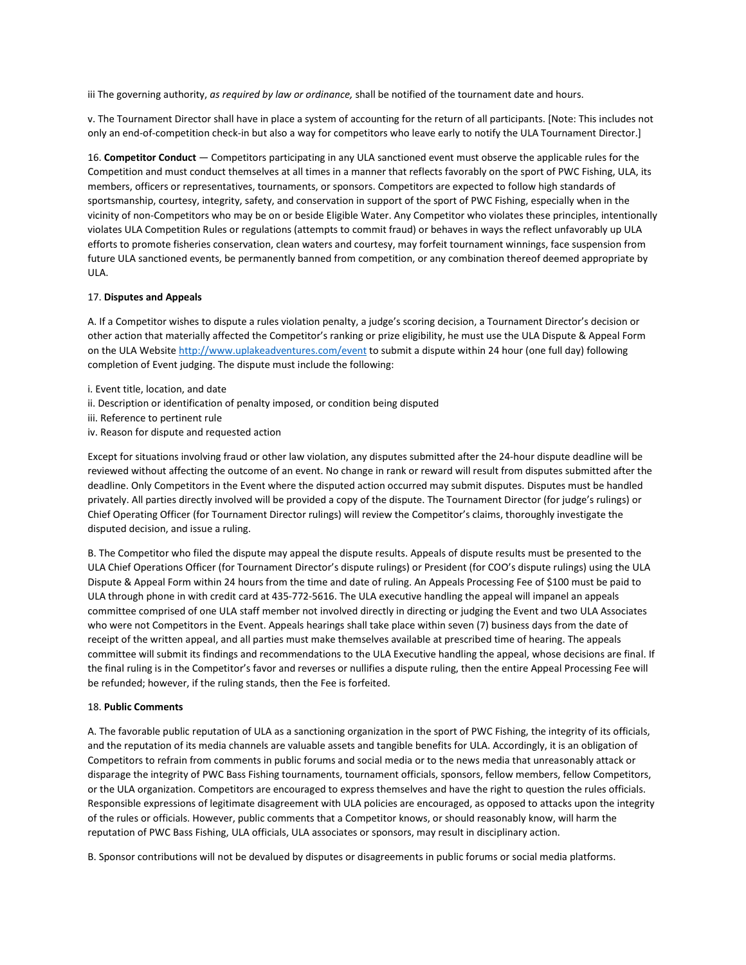iii The governing authority, *as required by law or ordinance,* shall be notified of the tournament date and hours.

v. The Tournament Director shall have in place a system of accounting for the return of all participants. [Note: This includes not only an end-of-competition check-in but also a way for competitors who leave early to notify the ULA Tournament Director.]

16. **Competitor Conduct** — Competitors participating in any ULA sanctioned event must observe the applicable rules for the Competition and must conduct themselves at all times in a manner that reflects favorably on the sport of PWC Fishing, ULA, its members, officers or representatives, tournaments, or sponsors. Competitors are expected to follow high standards of sportsmanship, courtesy, integrity, safety, and conservation in support of the sport of PWC Fishing, especially when in the vicinity of non-Competitors who may be on or beside Eligible Water. Any Competitor who violates these principles, intentionally violates ULA Competition Rules or regulations (attempts to commit fraud) or behaves in ways the reflect unfavorably up ULA efforts to promote fisheries conservation, clean waters and courtesy, may forfeit tournament winnings, face suspension from future ULA sanctioned events, be permanently banned from competition, or any combination thereof deemed appropriate by ULA.

#### 17. **Disputes and Appeals**

A. If a Competitor wishes to dispute a rules violation penalty, a judge's scoring decision, a Tournament Director's decision or other action that materially affected the Competitor's ranking or prize eligibility, he must use the ULA Dispute & Appeal Form on the ULA Website<http://www.uplakeadventures.com/event> to submit a dispute within 24 hour (one full day) following completion of Event judging. The dispute must include the following:

- i. Event title, location, and date
- ii. Description or identification of penalty imposed, or condition being disputed
- iii. Reference to pertinent rule
- iv. Reason for dispute and requested action

Except for situations involving fraud or other law violation, any disputes submitted after the 24-hour dispute deadline will be reviewed without affecting the outcome of an event. No change in rank or reward will result from disputes submitted after the deadline. Only Competitors in the Event where the disputed action occurred may submit disputes. Disputes must be handled privately. All parties directly involved will be provided a copy of the dispute. The Tournament Director (for judge's rulings) or Chief Operating Officer (for Tournament Director rulings) will review the Competitor's claims, thoroughly investigate the disputed decision, and issue a ruling.

B. The Competitor who filed the dispute may appeal the dispute results. Appeals of dispute results must be presented to the ULA Chief Operations Officer (for Tournament Director's dispute rulings) or President (for COO's dispute rulings) using the ULA Dispute & Appeal Form within 24 hours from the time and date of ruling. An Appeals Processing Fee of \$100 must be paid to ULA through phone in with credit card at 435-772-5616. The ULA executive handling the appeal will impanel an appeals committee comprised of one ULA staff member not involved directly in directing or judging the Event and two ULA Associates who were not Competitors in the Event. Appeals hearings shall take place within seven (7) business days from the date of receipt of the written appeal, and all parties must make themselves available at prescribed time of hearing. The appeals committee will submit its findings and recommendations to the ULA Executive handling the appeal, whose decisions are final. If the final ruling is in the Competitor's favor and reverses or nullifies a dispute ruling, then the entire Appeal Processing Fee will be refunded; however, if the ruling stands, then the Fee is forfeited.

#### 18. **Public Comments**

A. The favorable public reputation of ULA as a sanctioning organization in the sport of PWC Fishing, the integrity of its officials, and the reputation of its media channels are valuable assets and tangible benefits for ULA. Accordingly, it is an obligation of Competitors to refrain from comments in public forums and social media or to the news media that unreasonably attack or disparage the integrity of PWC Bass Fishing tournaments, tournament officials, sponsors, fellow members, fellow Competitors, or the ULA organization. Competitors are encouraged to express themselves and have the right to question the rules officials. Responsible expressions of legitimate disagreement with ULA policies are encouraged, as opposed to attacks upon the integrity of the rules or officials. However, public comments that a Competitor knows, or should reasonably know, will harm the reputation of PWC Bass Fishing, ULA officials, ULA associates or sponsors, may result in disciplinary action.

B. Sponsor contributions will not be devalued by disputes or disagreements in public forums or social media platforms.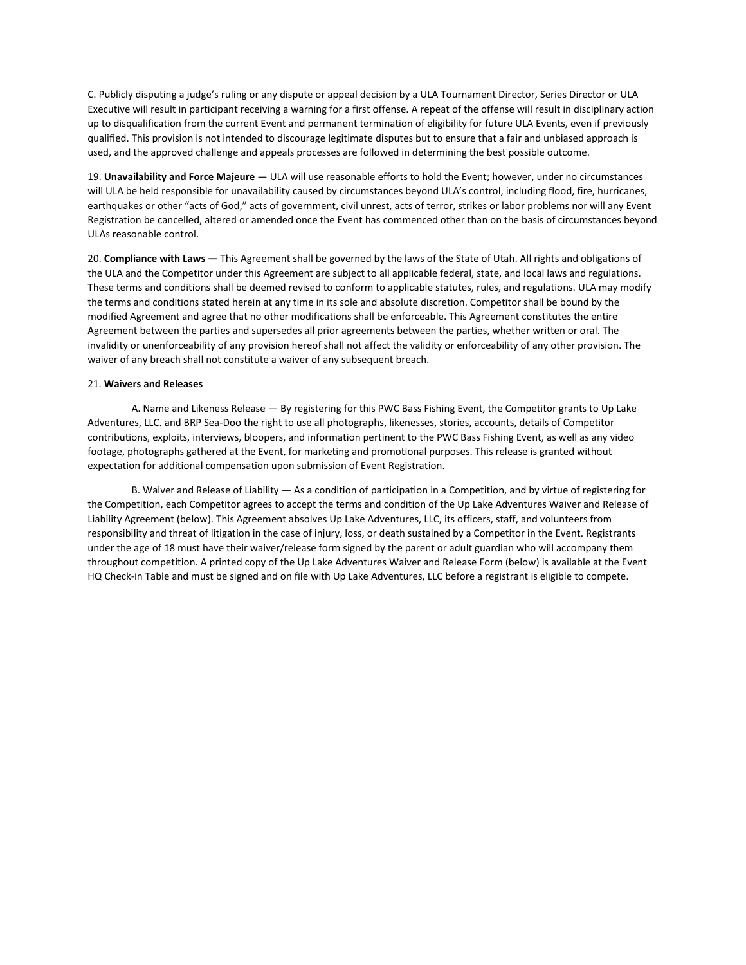C. Publicly disputing a judge's ruling or any dispute or appeal decision by a ULA Tournament Director, Series Director or ULA Executive will result in participant receiving a warning for a first offense. A repeat of the offense will result in disciplinary action up to disqualification from the current Event and permanent termination of eligibility for future ULA Events, even if previously qualified. This provision is not intended to discourage legitimate disputes but to ensure that a fair and unbiased approach is used, and the approved challenge and appeals processes are followed in determining the best possible outcome.

19. **Unavailability and Force Majeure** — ULA will use reasonable efforts to hold the Event; however, under no circumstances will ULA be held responsible for unavailability caused by circumstances beyond ULA's control, including flood, fire, hurricanes, earthquakes or other "acts of God," acts of government, civil unrest, acts of terror, strikes or labor problems nor will any Event Registration be cancelled, altered or amended once the Event has commenced other than on the basis of circumstances beyond ULAs reasonable control.

20. **Compliance with Laws —** This Agreement shall be governed by the laws of the State of Utah. All rights and obligations of the ULA and the Competitor under this Agreement are subject to all applicable federal, state, and local laws and regulations. These terms and conditions shall be deemed revised to conform to applicable statutes, rules, and regulations. ULA may modify the terms and conditions stated herein at any time in its sole and absolute discretion. Competitor shall be bound by the modified Agreement and agree that no other modifications shall be enforceable. This Agreement constitutes the entire Agreement between the parties and supersedes all prior agreements between the parties, whether written or oral. The invalidity or unenforceability of any provision hereof shall not affect the validity or enforceability of any other provision. The waiver of any breach shall not constitute a waiver of any subsequent breach.

#### 21. **Waivers and Releases**

A. Name and Likeness Release — By registering for this PWC Bass Fishing Event, the Competitor grants to Up Lake Adventures, LLC. and BRP Sea-Doo the right to use all photographs, likenesses, stories, accounts, details of Competitor contributions, exploits, interviews, bloopers, and information pertinent to the PWC Bass Fishing Event, as well as any video footage, photographs gathered at the Event, for marketing and promotional purposes. This release is granted without expectation for additional compensation upon submission of Event Registration.

B. Waiver and Release of Liability — As a condition of participation in a Competition, and by virtue of registering for the Competition, each Competitor agrees to accept the terms and condition of the Up Lake Adventures Waiver and Release of Liability Agreement (below). This Agreement absolves Up Lake Adventures, LLC, its officers, staff, and volunteers from responsibility and threat of litigation in the case of injury, loss, or death sustained by a Competitor in the Event. Registrants under the age of 18 must have their waiver/release form signed by the parent or adult guardian who will accompany them throughout competition. A printed copy of the Up Lake Adventures Waiver and Release Form (below) is available at the Event HQ Check-in Table and must be signed and on file with Up Lake Adventures, LLC before a registrant is eligible to compete.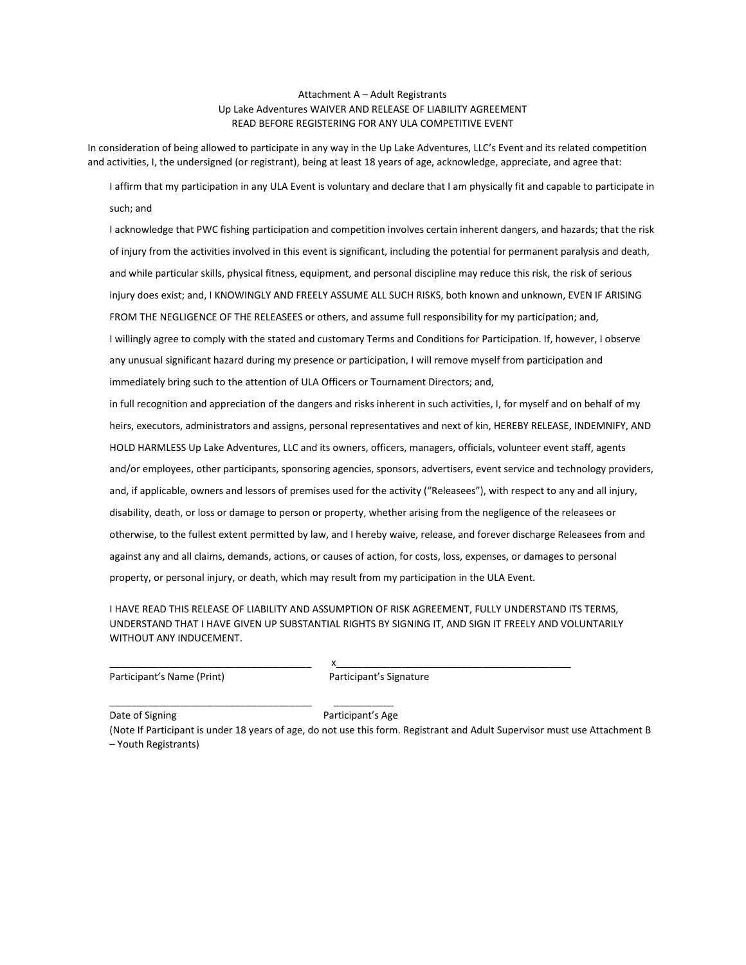### Attachment A – Adult Registrants Up Lake Adventures WAIVER AND RELEASE OF LIABILITY AGREEMENT READ BEFORE REGISTERING FOR ANY ULA COMPETITIVE EVENT

In consideration of being allowed to participate in any way in the Up Lake Adventures, LLC's Event and its related competition and activities, I, the undersigned (or registrant), being at least 18 years of age, acknowledge, appreciate, and agree that:

I affirm that my participation in any ULA Event is voluntary and declare that I am physically fit and capable to participate in such; and

I acknowledge that PWC fishing participation and competition involves certain inherent dangers, and hazards; that the risk of injury from the activities involved in this event is significant, including the potential for permanent paralysis and death, and while particular skills, physical fitness, equipment, and personal discipline may reduce this risk, the risk of serious injury does exist; and, I KNOWINGLY AND FREELY ASSUME ALL SUCH RISKS, both known and unknown, EVEN IF ARISING FROM THE NEGLIGENCE OF THE RELEASEES or others, and assume full responsibility for my participation; and, I willingly agree to comply with the stated and customary Terms and Conditions for Participation. If, however, I observe any unusual significant hazard during my presence or participation, I will remove myself from participation and immediately bring such to the attention of ULA Officers or Tournament Directors; and, in full recognition and appreciation of the dangers and risks inherent in such activities, I, for myself and on behalf of my

heirs, executors, administrators and assigns, personal representatives and next of kin, HEREBY RELEASE, INDEMNIFY, AND HOLD HARMLESS Up Lake Adventures, LLC and its owners, officers, managers, officials, volunteer event staff, agents and/or employees, other participants, sponsoring agencies, sponsors, advertisers, event service and technology providers, and, if applicable, owners and lessors of premises used for the activity ("Releasees"), with respect to any and all injury, disability, death, or loss or damage to person or property, whether arising from the negligence of the releasees or otherwise, to the fullest extent permitted by law, and I hereby waive, release, and forever discharge Releasees from and against any and all claims, demands, actions, or causes of action, for costs, loss, expenses, or damages to personal property, or personal injury, or death, which may result from my participation in the ULA Event.

I HAVE READ THIS RELEASE OF LIABILITY AND ASSUMPTION OF RISK AGREEMENT, FULLY UNDERSTAND ITS TERMS, UNDERSTAND THAT I HAVE GIVEN UP SUBSTANTIAL RIGHTS BY SIGNING IT, AND SIGN IT FREELY AND VOLUNTARILY WITHOUT ANY INDUCEMENT.

Participant's Name (Print) Participant's Signature

\_\_\_\_\_\_\_\_\_\_\_\_\_\_\_\_\_\_\_\_\_\_\_\_\_\_\_\_\_\_\_\_\_\_\_\_\_ \_\_\_\_\_\_\_\_\_\_\_

(Note If Participant is under 18 years of age, do not use this form. Registrant and Adult Supervisor must use Attachment B – Youth Registrants)

Date of Signing **Participant's Age** 

\_\_\_\_\_\_\_\_\_\_\_\_\_\_\_\_\_\_\_\_\_\_\_\_\_\_\_\_\_\_\_\_\_\_\_\_\_ x\_\_\_\_\_\_\_\_\_\_\_\_\_\_\_\_\_\_\_\_\_\_\_\_\_\_\_\_\_\_\_\_\_\_\_\_\_\_\_\_\_\_\_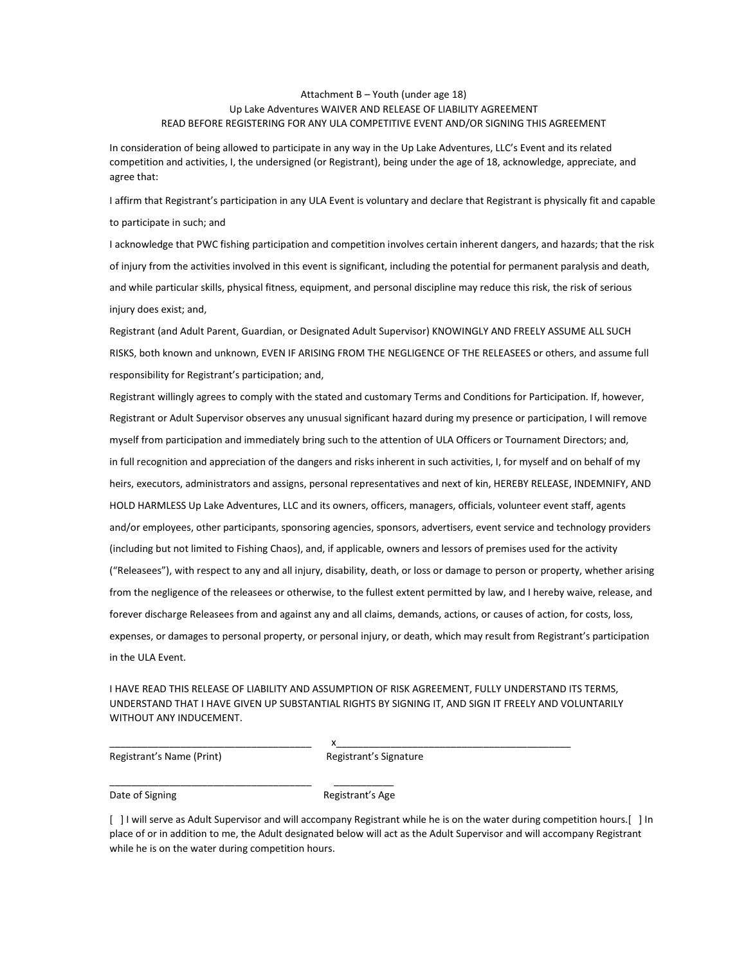### Attachment B – Youth (under age 18) Up Lake Adventures WAIVER AND RELEASE OF LIABILITY AGREEMENT READ BEFORE REGISTERING FOR ANY ULA COMPETITIVE EVENT AND/OR SIGNING THIS AGREEMENT

In consideration of being allowed to participate in any way in the Up Lake Adventures, LLC's Event and its related competition and activities, I, the undersigned (or Registrant), being under the age of 18, acknowledge, appreciate, and agree that:

I affirm that Registrant's participation in any ULA Event is voluntary and declare that Registrant is physically fit and capable to participate in such; and

I acknowledge that PWC fishing participation and competition involves certain inherent dangers, and hazards; that the risk of injury from the activities involved in this event is significant, including the potential for permanent paralysis and death, and while particular skills, physical fitness, equipment, and personal discipline may reduce this risk, the risk of serious injury does exist; and,

Registrant (and Adult Parent, Guardian, or Designated Adult Supervisor) KNOWINGLY AND FREELY ASSUME ALL SUCH RISKS, both known and unknown, EVEN IF ARISING FROM THE NEGLIGENCE OF THE RELEASEES or others, and assume full responsibility for Registrant's participation; and,

Registrant willingly agrees to comply with the stated and customary Terms and Conditions for Participation. If, however, Registrant or Adult Supervisor observes any unusual significant hazard during my presence or participation, I will remove myself from participation and immediately bring such to the attention of ULA Officers or Tournament Directors; and, in full recognition and appreciation of the dangers and risks inherent in such activities, I, for myself and on behalf of my heirs, executors, administrators and assigns, personal representatives and next of kin, HEREBY RELEASE, INDEMNIFY, AND HOLD HARMLESS Up Lake Adventures, LLC and its owners, officers, managers, officials, volunteer event staff, agents and/or employees, other participants, sponsoring agencies, sponsors, advertisers, event service and technology providers (including but not limited to Fishing Chaos), and, if applicable, owners and lessors of premises used for the activity ("Releasees"), with respect to any and all injury, disability, death, or loss or damage to person or property, whether arising from the negligence of the releasees or otherwise, to the fullest extent permitted by law, and I hereby waive, release, and forever discharge Releasees from and against any and all claims, demands, actions, or causes of action, for costs, loss, expenses, or damages to personal property, or personal injury, or death, which may result from Registrant's participation in the ULA Event.

I HAVE READ THIS RELEASE OF LIABILITY AND ASSUMPTION OF RISK AGREEMENT, FULLY UNDERSTAND ITS TERMS, UNDERSTAND THAT I HAVE GIVEN UP SUBSTANTIAL RIGHTS BY SIGNING IT, AND SIGN IT FREELY AND VOLUNTARILY WITHOUT ANY INDUCEMENT.

Registrant's Name (Print) Registrant's Signature

\_\_\_\_\_\_\_\_\_\_\_\_\_\_\_\_\_\_\_\_\_\_\_\_\_\_\_\_\_\_\_\_\_\_\_\_\_ \_\_\_\_\_\_\_\_\_\_\_

\_\_\_\_\_\_\_\_\_\_\_\_\_\_\_\_\_\_\_\_\_\_\_\_\_\_\_\_\_\_\_\_\_\_\_\_\_ x\_\_\_\_\_\_\_\_\_\_\_\_\_\_\_\_\_\_\_\_\_\_\_\_\_\_\_\_\_\_\_\_\_\_\_\_\_\_\_\_\_\_\_

Date of Signing The Communication of Signing Registrant's Age

[ ] I will serve as Adult Supervisor and will accompany Registrant while he is on the water during competition hours. [ ] In place of or in addition to me, the Adult designated below will act as the Adult Supervisor and will accompany Registrant while he is on the water during competition hours.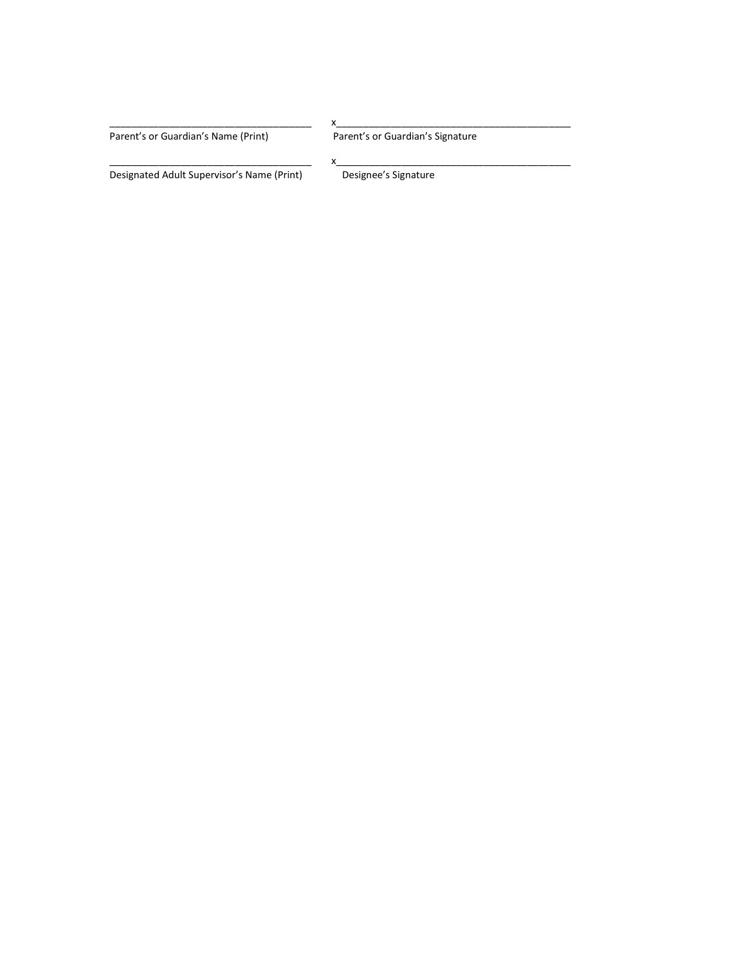Parent's or Guardian's Name (Print) Parent's or Guardian's Signature

Designated Adult Supervisor's Name (Print)

\_\_\_\_\_\_\_\_\_\_\_\_\_\_\_\_\_\_\_\_\_\_\_\_\_\_\_\_\_\_\_\_\_\_\_\_\_ x\_\_\_\_\_\_\_\_\_\_\_\_\_\_\_\_\_\_\_\_\_\_\_\_\_\_\_\_\_\_\_\_\_\_\_\_\_\_\_\_\_\_\_

\_\_\_\_\_\_\_\_\_\_\_\_\_\_\_\_\_\_\_\_\_\_\_\_\_\_\_\_\_\_\_\_\_\_\_\_\_ x\_\_\_\_\_\_\_\_\_\_\_\_\_\_\_\_\_\_\_\_\_\_\_\_\_\_\_\_\_\_\_\_\_\_\_\_\_\_\_\_\_\_\_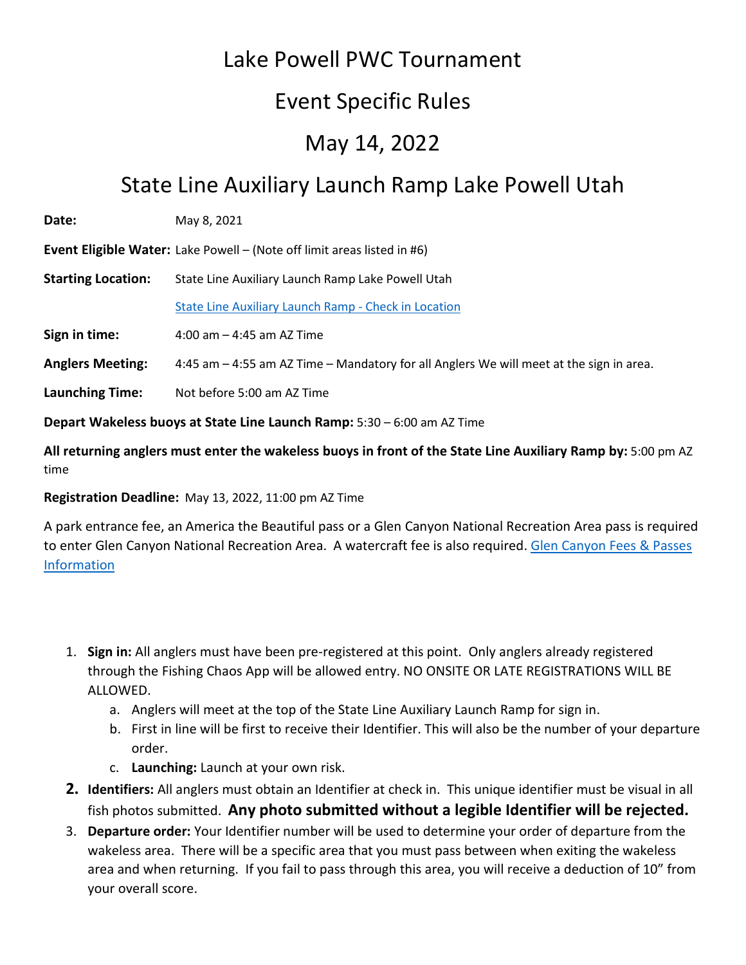# Lake Powell PWC Tournament

# Event Specific Rules

# May 14, 2022

# State Line Auxiliary Launch Ramp Lake Powell Utah

| Date: | May 8, 2021 |
|-------|-------------|
|       |             |

**Event Eligible Water:** Lake Powell – (Note off limit areas listed in #6)

**Starting Location:** State Line Auxiliary Launch Ramp Lake Powell Utah

[State Line Auxiliary Launch Ramp -](https://goo.gl/maps/iYpbjdtU7jdY38R46) Check in Location

**Sign in time:** 4:00 am – 4:45 am AZ Time

**Anglers Meeting:** 4:45 am – 4:55 am AZ Time – Mandatory for all Anglers We will meet at the sign in area.

**Launching Time:** Not before 5:00 am AZ Time

**Depart Wakeless buoys at State Line Launch Ramp:** 5:30 – 6:00 am AZ Time

**All returning anglers must enter the wakeless buoys in front of the State Line Auxiliary Ramp by:** 5:00 pm AZ time

# **Registration Deadline:** May 13, 2022, 11:00 pm AZ Time

A park entrance fee, an America the Beautiful pass or a Glen Canyon National Recreation Area pass is required to enter Glen Canyon National Recreation Area. A watercraft fee is also required. [Glen Canyon Fees & Passes](https://www.nps.gov/glca/planyourvisit/fees.htm)  [Information](https://www.nps.gov/glca/planyourvisit/fees.htm)

- 1. **Sign in:** All anglers must have been pre-registered at this point. Only anglers already registered through the Fishing Chaos App will be allowed entry. NO ONSITE OR LATE REGISTRATIONS WILL BE ALLOWED.
	- a. Anglers will meet at the top of the State Line Auxiliary Launch Ramp for sign in.
	- b. First in line will be first to receive their Identifier. This will also be the number of your departure order.
	- c. **Launching:** Launch at your own risk.
- **2. Identifiers:** All anglers must obtain an Identifier at check in. This unique identifier must be visual in all fish photos submitted. **Any photo submitted without a legible Identifier will be rejected.**
- 3. **Departure order:** Your Identifier number will be used to determine your order of departure from the wakeless area. There will be a specific area that you must pass between when exiting the wakeless area and when returning. If you fail to pass through this area, you will receive a deduction of 10" from your overall score.